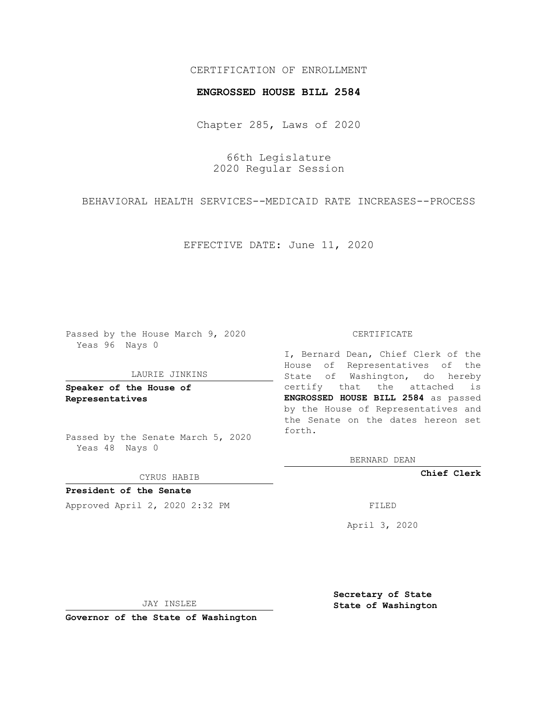## CERTIFICATION OF ENROLLMENT

### **ENGROSSED HOUSE BILL 2584**

Chapter 285, Laws of 2020

66th Legislature 2020 Regular Session

BEHAVIORAL HEALTH SERVICES--MEDICAID RATE INCREASES--PROCESS

EFFECTIVE DATE: June 11, 2020

Passed by the House March 9, 2020 Yeas 96 Nays 0

#### LAURIE JINKINS

**Speaker of the House of Representatives**

Passed by the Senate March 5, 2020 Yeas 48 Nays 0

CYRUS HABIB

**President of the Senate** Approved April 2, 2020 2:32 PM

#### CERTIFICATE

I, Bernard Dean, Chief Clerk of the House of Representatives of the State of Washington, do hereby certify that the attached is **ENGROSSED HOUSE BILL 2584** as passed by the House of Representatives and the Senate on the dates hereon set forth.

BERNARD DEAN

**Chief Clerk**

April 3, 2020

JAY INSLEE

**Governor of the State of Washington**

**Secretary of State State of Washington**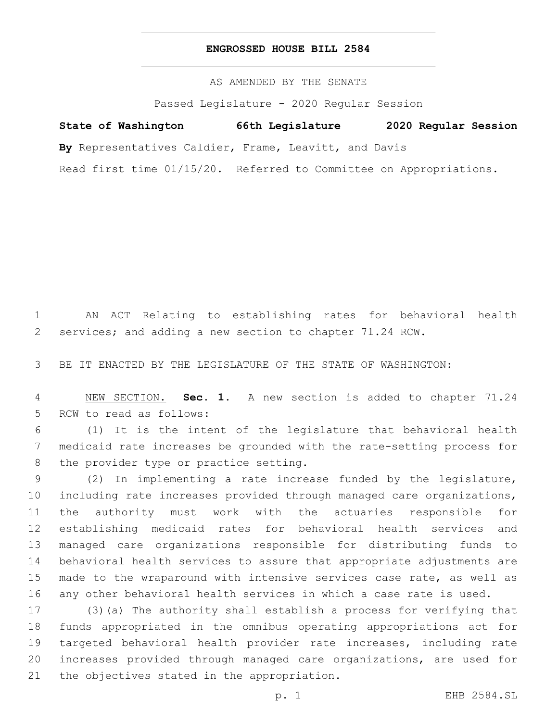## **ENGROSSED HOUSE BILL 2584**

AS AMENDED BY THE SENATE

Passed Legislature - 2020 Regular Session

# **State of Washington 66th Legislature 2020 Regular Session**

**By** Representatives Caldier, Frame, Leavitt, and Davis

Read first time 01/15/20. Referred to Committee on Appropriations.

 AN ACT Relating to establishing rates for behavioral health services; and adding a new section to chapter 71.24 RCW.

BE IT ENACTED BY THE LEGISLATURE OF THE STATE OF WASHINGTON:

 NEW SECTION. **Sec. 1.** A new section is added to chapter 71.24 5 RCW to read as follows:

 (1) It is the intent of the legislature that behavioral health medicaid rate increases be grounded with the rate-setting process for 8 the provider type or practice setting.

 (2) In implementing a rate increase funded by the legislature, including rate increases provided through managed care organizations, the authority must work with the actuaries responsible for establishing medicaid rates for behavioral health services and managed care organizations responsible for distributing funds to behavioral health services to assure that appropriate adjustments are made to the wraparound with intensive services case rate, as well as any other behavioral health services in which a case rate is used.

 (3)(a) The authority shall establish a process for verifying that funds appropriated in the omnibus operating appropriations act for targeted behavioral health provider rate increases, including rate increases provided through managed care organizations, are used for 21 the objectives stated in the appropriation.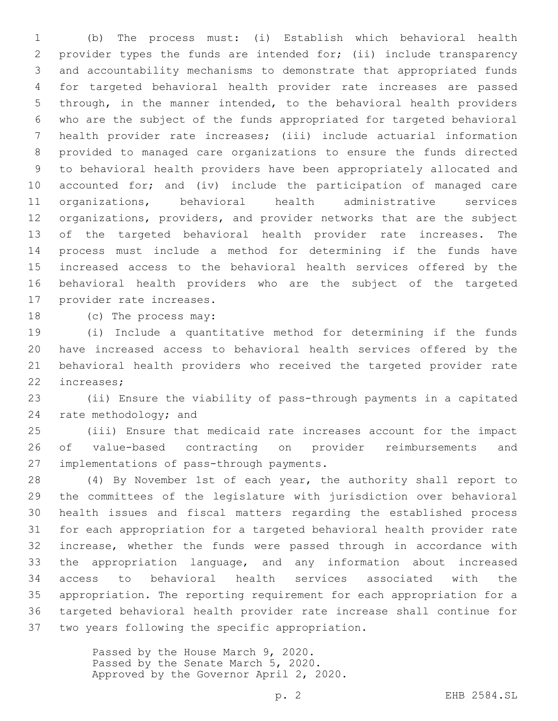(b) The process must: (i) Establish which behavioral health provider types the funds are intended for; (ii) include transparency and accountability mechanisms to demonstrate that appropriated funds for targeted behavioral health provider rate increases are passed through, in the manner intended, to the behavioral health providers who are the subject of the funds appropriated for targeted behavioral health provider rate increases; (iii) include actuarial information provided to managed care organizations to ensure the funds directed to behavioral health providers have been appropriately allocated and accounted for; and (iv) include the participation of managed care organizations, behavioral health administrative services organizations, providers, and provider networks that are the subject of the targeted behavioral health provider rate increases. The process must include a method for determining if the funds have increased access to the behavioral health services offered by the behavioral health providers who are the subject of the targeted 17 provider rate increases.

18 (c) The process may:

 (i) Include a quantitative method for determining if the funds have increased access to behavioral health services offered by the behavioral health providers who received the targeted provider rate 22 increases;

 (ii) Ensure the viability of pass-through payments in a capitated 24 rate methodology; and

 (iii) Ensure that medicaid rate increases account for the impact of value-based contracting on provider reimbursements and 27 implementations of pass-through payments.

 (4) By November 1st of each year, the authority shall report to the committees of the legislature with jurisdiction over behavioral health issues and fiscal matters regarding the established process for each appropriation for a targeted behavioral health provider rate increase, whether the funds were passed through in accordance with the appropriation language, and any information about increased access to behavioral health services associated with the appropriation. The reporting requirement for each appropriation for a targeted behavioral health provider rate increase shall continue for 37 two years following the specific appropriation.

> Passed by the House March 9, 2020. Passed by the Senate March 5, 2020. Approved by the Governor April 2, 2020.